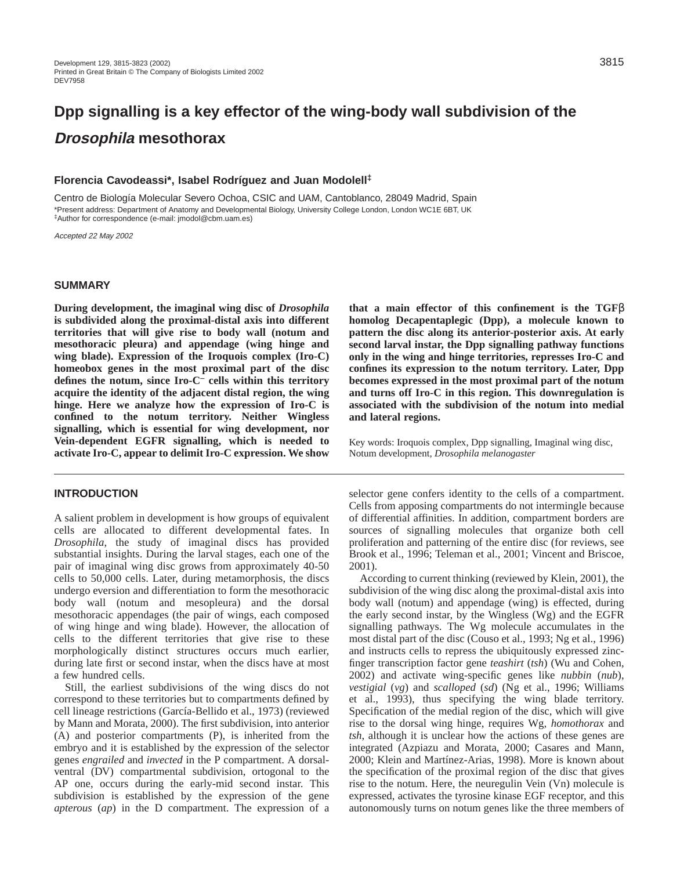# **Dpp signalling is a key effector of the wing-body wall subdivision of the Drosophila mesothorax**

## **Florencia Cavodeassi\*, Isabel Rodríguez and Juan Modolell‡**

Centro de Biología Molecular Severo Ochoa, CSIC and UAM, Cantoblanco, 28049 Madrid, Spain \*Present address: Department of Anatomy and Developmental Biology, University College London, London WC1E 6BT, UK ‡Author for correspondence (e-mail: jmodol@cbm.uam.es)

Accepted 22 May 2002

# **SUMMARY**

**During development, the imaginal wing disc of** *Drosophila* **is subdivided along the proximal-distal axis into different territories that will give rise to body wall (notum and mesothoracic pleura) and appendage (wing hinge and wing blade). Expression of the Iroquois complex (Iro-C) homeobox genes in the most proximal part of the disc defines the notum, since Iro-C– cells within this territory acquire the identity of the adjacent distal region, the wing hinge. Here we analyze how the expression of Iro-C is confined to the notum territory. Neither Wingless signalling, which is essential for wing development, nor Vein-dependent EGFR signalling, which is needed to activate Iro-C, appear to delimit Iro-C expression. We show**

## **INTRODUCTION**

A salient problem in development is how groups of equivalent cells are allocated to different developmental fates. In *Drosophila*, the study of imaginal discs has provided substantial insights. During the larval stages, each one of the pair of imaginal wing disc grows from approximately 40-50 cells to 50,000 cells. Later, during metamorphosis, the discs undergo eversion and differentiation to form the mesothoracic body wall (notum and mesopleura) and the dorsal mesothoracic appendages (the pair of wings, each composed of wing hinge and wing blade). However, the allocation of cells to the different territories that give rise to these morphologically distinct structures occurs much earlier, during late first or second instar, when the discs have at most a few hundred cells.

Still, the earliest subdivisions of the wing discs do not correspond to these territories but to compartments defined by cell lineage restrictions (García-Bellido et al., 1973) (reviewed by Mann and Morata, 2000). The first subdivision, into anterior (A) and posterior compartments (P), is inherited from the embryo and it is established by the expression of the selector genes *engrailed* and *invected* in the P compartment. A dorsalventral (DV) compartmental subdivision, ortogonal to the AP one, occurs during the early-mid second instar. This subdivision is established by the expression of the gene *apterous* (*ap*) in the D compartment. The expression of a

**that a main effector of this confinement is the TGF**β **homolog Decapentaplegic (Dpp), a molecule known to pattern the disc along its anterior-posterior axis. At early second larval instar, the Dpp signalling pathway functions only in the wing and hinge territories, represses Iro-C and confines its expression to the notum territory. Later, Dpp becomes expressed in the most proximal part of the notum and turns off Iro-C in this region. This downregulation is associated with the subdivision of the notum into medial and lateral regions.** 

Key words: Iroquois complex, Dpp signalling, Imaginal wing disc, Notum development, *Drosophila melanogaster*

selector gene confers identity to the cells of a compartment. Cells from apposing compartments do not intermingle because of differential affinities. In addition, compartment borders are sources of signalling molecules that organize both cell proliferation and patterning of the entire disc (for reviews, see Brook et al., 1996; Teleman et al., 2001; Vincent and Briscoe, 2001).

According to current thinking (reviewed by Klein, 2001), the subdivision of the wing disc along the proximal-distal axis into body wall (notum) and appendage (wing) is effected, during the early second instar, by the Wingless (Wg) and the EGFR signalling pathways. The Wg molecule accumulates in the most distal part of the disc (Couso et al., 1993; Ng et al., 1996) and instructs cells to repress the ubiquitously expressed zincfinger transcription factor gene *teashirt* (*tsh*) (Wu and Cohen, 2002) and activate wing-specific genes like *nubbin* (*nub*), *vestigial* (*vg*) and *scalloped* (*sd*) (Ng et al., 1996; Williams et al., 1993), thus specifying the wing blade territory. Specification of the medial region of the disc, which will give rise to the dorsal wing hinge, requires Wg, *homothorax* and *tsh*, although it is unclear how the actions of these genes are integrated (Azpiazu and Morata, 2000; Casares and Mann, 2000; Klein and Martínez-Arias, 1998). More is known about the specification of the proximal region of the disc that gives rise to the notum. Here, the neuregulin Vein (Vn) molecule is expressed, activates the tyrosine kinase EGF receptor, and this autonomously turns on notum genes like the three members of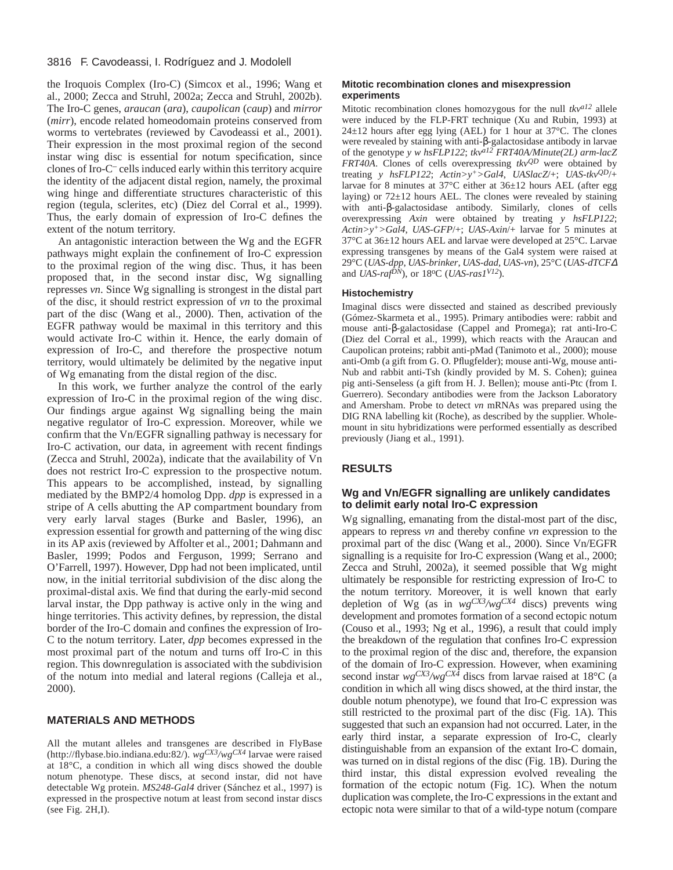#### 3816 F. Cavodeassi, I. Rodríguez and J. Modolell

the Iroquois Complex (Iro-C) (Simcox et al., 1996; Wang et al., 2000; Zecca and Struhl, 2002a; Zecca and Struhl, 2002b). The Iro-C genes, *araucan* (*ara*), *caupolican* (*caup*) and *mirror* (*mirr*), encode related homeodomain proteins conserved from worms to vertebrates (reviewed by Cavodeassi et al., 2001). Their expression in the most proximal region of the second instar wing disc is essential for notum specification, since clones of Iro-C– cells induced early within this territory acquire the identity of the adjacent distal region, namely, the proximal wing hinge and differentiate structures characteristic of this region (tegula, sclerites, etc) (Diez del Corral et al., 1999). Thus, the early domain of expression of Iro-C defines the extent of the notum territory.

An antagonistic interaction between the Wg and the EGFR pathways might explain the confinement of Iro-C expression to the proximal region of the wing disc. Thus, it has been proposed that, in the second instar disc, Wg signalling represses *vn*. Since Wg signalling is strongest in the distal part of the disc, it should restrict expression of *vn* to the proximal part of the disc (Wang et al., 2000). Then, activation of the EGFR pathway would be maximal in this territory and this would activate Iro-C within it. Hence, the early domain of expression of Iro-C, and therefore the prospective notum territory, would ultimately be delimited by the negative input of Wg emanating from the distal region of the disc.

In this work, we further analyze the control of the early expression of Iro-C in the proximal region of the wing disc. Our findings argue against Wg signalling being the main negative regulator of Iro-C expression. Moreover, while we confirm that the Vn/EGFR signalling pathway is necessary for Iro-C activation, our data, in agreement with recent findings (Zecca and Struhl, 2002a), indicate that the availability of Vn does not restrict Iro-C expression to the prospective notum. This appears to be accomplished, instead, by signalling mediated by the BMP2/4 homolog Dpp. *dpp* is expressed in a stripe of A cells abutting the AP compartment boundary from very early larval stages (Burke and Basler, 1996), an expression essential for growth and patterning of the wing disc in its AP axis (reviewed by Affolter et al., 2001; Dahmann and Basler, 1999; Podos and Ferguson, 1999; Serrano and O'Farrell, 1997). However, Dpp had not been implicated, until now, in the initial territorial subdivision of the disc along the proximal-distal axis. We find that during the early-mid second larval instar, the Dpp pathway is active only in the wing and hinge territories. This activity defines, by repression, the distal border of the Iro-C domain and confines the expression of Iro-C to the notum territory. Later, *dpp* becomes expressed in the most proximal part of the notum and turns off Iro-C in this region. This downregulation is associated with the subdivision of the notum into medial and lateral regions (Calleja et al., 2000).

#### **MATERIALS AND METHODS**

All the mutant alleles and transgenes are described in FlyBase [\(http://flybase.bio.indiana.edu:82/\).](http://flybase.bio.indiana.edu:82/) *wgCX3/wgCX4* larvae were raised at 18°C, a condition in which all wing discs showed the double notum phenotype. These discs, at second instar, did not have detectable Wg protein. *MS248-Gal4* driver (Sánchez et al., 1997) is expressed in the prospective notum at least from second instar discs (see Fig. 2H,I).

#### **Mitotic recombination clones and misexpression experiments**

Mitotic recombination clones homozygous for the null *tkva12* allele were induced by the FLP-FRT technique (Xu and Rubin, 1993) at 24±12 hours after egg lying (AEL) for 1 hour at 37°C. The clones were revealed by staining with anti-β-galactosidase antibody in larvae of the genotype *y w hsFLP122*; *tkva12 FRT40A/Minute(2L) arm-lacZ FRT40A*. Clones of cells overexpressing *tkvQD* were obtained by treating *y hsFLP122*; *Actin>y+>Gal4*, *UASlacZ*/+; *UAS-tkvQD*/+ larvae for 8 minutes at 37°C either at 36±12 hours AEL (after egg laying) or  $72\pm12$  hours AEL. The clones were revealed by staining with anti-β-galactosidase antibody. Similarly, clones of cells overexpressing *Axin* were obtained by treating *y hsFLP122*; *Actin>y+>Gal4*, *UAS-GFP*/+; *UAS-Axin*/+ larvae for 5 minutes at 37°C at 36±12 hours AEL and larvae were developed at 25°C. Larvae expressing transgenes by means of the Gal4 system were raised at 29°C (*UAS-dpp*, *UAS-brinker*, *UAS-dad*, *UAS-vn*), 25°C (*UAS-dTCF*<sup>∆</sup> and *UAS-rafDN*), or 18oC (*UAS-ras1V12*).

#### **Histochemistry**

Imaginal discs were dissected and stained as described previously (Gómez-Skarmeta et al., 1995). Primary antibodies were: rabbit and mouse anti-β-galactosidase (Cappel and Promega); rat anti-Iro-C (Diez del Corral et al., 1999), which reacts with the Araucan and Caupolican proteins; rabbit anti-pMad (Tanimoto et al., 2000); mouse anti-Omb (a gift from G. O. Pflugfelder); mouse anti-Wg, mouse anti-Nub and rabbit anti-Tsh (kindly provided by M. S. Cohen); guinea pig anti-Senseless (a gift from H. J. Bellen); mouse anti-Ptc (from I. Guerrero). Secondary antibodies were from the Jackson Laboratory and Amersham. Probe to detect *vn* mRNAs was prepared using the DIG RNA labelling kit (Roche), as described by the supplier. Wholemount in situ hybridizations were performed essentially as described previously (Jiang et al., 1991).

## **RESULTS**

## **Wg and Vn/EGFR signalling are unlikely candidates to delimit early notal Iro-C expression**

Wg signalling, emanating from the distal-most part of the disc, appears to repress *vn* and thereby confine *vn* expression to the proximal part of the disc (Wang et al., 2000). Since Vn/EGFR signalling is a requisite for Iro-C expression (Wang et al., 2000; Zecca and Struhl, 2002a), it seemed possible that Wg might ultimately be responsible for restricting expression of Iro-C to the notum territory. Moreover, it is well known that early depletion of Wg (as in *wgCX3/wgCX4* discs) prevents wing development and promotes formation of a second ectopic notum (Couso et al., 1993; Ng et al., 1996), a result that could imply the breakdown of the regulation that confines Iro-C expression to the proximal region of the disc and, therefore, the expansion of the domain of Iro-C expression. However, when examining second instar *wgCX3/wgCX4* discs from larvae raised at 18°C (a condition in which all wing discs showed, at the third instar, the double notum phenotype), we found that Iro-C expression was still restricted to the proximal part of the disc (Fig. 1A). This suggested that such an expansion had not occurred. Later, in the early third instar, a separate expression of Iro-C, clearly distinguishable from an expansion of the extant Iro-C domain, was turned on in distal regions of the disc (Fig. 1B). During the third instar, this distal expression evolved revealing the formation of the ectopic notum (Fig. 1C). When the notum duplication was complete, the Iro-C expressions in the extant and ectopic nota were similar to that of a wild-type notum (compare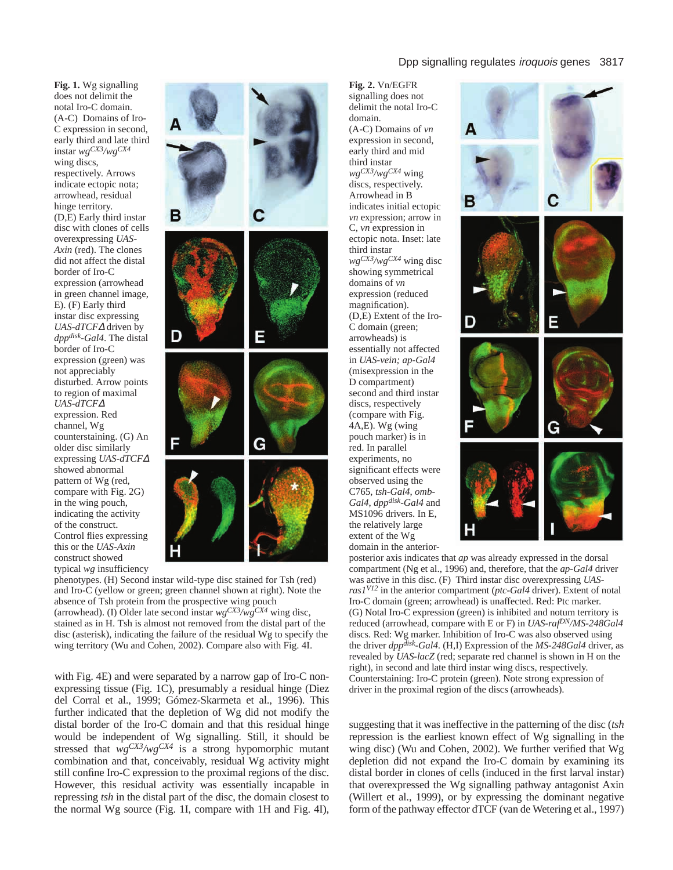**Fig. 1.** Wg signalling does not delimit the notal Iro-C domain. (A-C) Domains of Iro-C expression in second, early third and late third instar *wgCX3/wgCX4* wing discs, respectively. Arrows indicate ectopic nota; arrowhead, residual hinge territory. (D,E) Early third instar disc with clones of cells overexpressing *UAS-Axin* (red). The clones did not affect the distal border of Iro-C expression (arrowhead in green channel image, E). (F) Early third instar disc expressing *UAS-dTCF*<sup>∆</sup> driven by *dppdisk-Gal4*. The distal border of Iro-C expression (green) was not appreciably disturbed. Arrow points to region of maximal *UAS-dTCF*<sup>∆</sup> expression. Red channel, Wg counterstaining. (G) An older disc similarly expressing *UAS-dTCF*<sup>∆</sup> showed abnormal pattern of Wg (red, compare with Fig. 2G) in the wing pouch, indicating the activity of the construct. Control flies expressing this or the *UAS-Axin* construct showed typical *wg* insufficiency



phenotypes. (H) Second instar wild-type disc stained for Tsh (red) and Iro-C (yellow or green; green channel shown at right). Note the absence of Tsh protein from the prospective wing pouch (arrowhead). (I) Older late second instar *wgCX3/wgCX4* wing disc, stained as in H. Tsh is almost not removed from the distal part of the disc (asterisk), indicating the failure of the residual Wg to specify the wing territory (Wu and Cohen, 2002). Compare also with Fig. 4I.

with Fig. 4E) and were separated by a narrow gap of Iro-C nonexpressing tissue (Fig. 1C), presumably a residual hinge (Diez del Corral et al., 1999; Gómez-Skarmeta et al., 1996). This further indicated that the depletion of Wg did not modify the distal border of the Iro-C domain and that this residual hinge would be independent of Wg signalling. Still, it should be stressed that *wgCX3/wgCX4* is a strong hypomorphic mutant combination and that, conceivably, residual Wg activity might still confine Iro-C expression to the proximal regions of the disc. However, this residual activity was essentially incapable in repressing *tsh* in the distal part of the disc, the domain closest to the normal Wg source (Fig. 1I, compare with 1H and Fig. 4I), **Fig. 2.** Vn/EGFR signalling does not delimit the notal Iro-C domain. (A-C) Domains of *vn* expression in second, early third and mid third instar *wgCX3/wgCX4* wing discs, respectively. Arrowhead in B indicates initial ectopic *vn* expression; arrow in C, *vn* expression in ectopic nota. Inset: late third instar *wgCX3/wgCX4* wing disc showing symmetrical domains of *vn* expression (reduced magnification). (D,E) Extent of the Iro-C domain (green; arrowheads) is essentially not affected in *UAS-vein; ap-Gal4* (misexpression in the D compartment) second and third instar discs, respectively (compare with Fig.  $4A,E$ ). Wg (wing pouch marker) is in red. In parallel experiments, no significant effects were observed using the C765, *tsh-Gal4*, *omb-Gal4*, *dppdisk-Gal4* and MS1096 drivers. In E, the relatively large extent of the Wg domain in the anterior-



posterior axis indicates that *ap* was already expressed in the dorsal compartment (Ng et al., 1996) and, therefore, that the *ap-Gal4* driver was active in this disc. (F) Third instar disc overexpressing *UASras1V12* in the anterior compartment (*ptc-Gal4* driver). Extent of notal Iro-C domain (green; arrowhead) is unaffected. Red: Ptc marker. (G) Notal Iro-C expression (green) is inhibited and notum territory is reduced (arrowhead, compare with E or F) in *UAS-rafDN/MS-248Gal4* discs. Red: Wg marker. Inhibition of Iro-C was also observed using the driver *dppdisk-Gal4*. (H,I) Expression of the *MS-248Gal4* driver, as revealed by *UAS-lacZ* (red; separate red channel is shown in H on the right), in second and late third instar wing discs, respectively. Counterstaining: Iro-C protein (green). Note strong expression of driver in the proximal region of the discs (arrowheads).

suggesting that it was ineffective in the patterning of the disc (*tsh* repression is the earliest known effect of Wg signalling in the wing disc) (Wu and Cohen, 2002). We further verified that Wg depletion did not expand the Iro-C domain by examining its distal border in clones of cells (induced in the first larval instar) that overexpressed the Wg signalling pathway antagonist Axin (Willert et al., 1999), or by expressing the dominant negative form of the pathway effector dTCF (van de Wetering et al., 1997)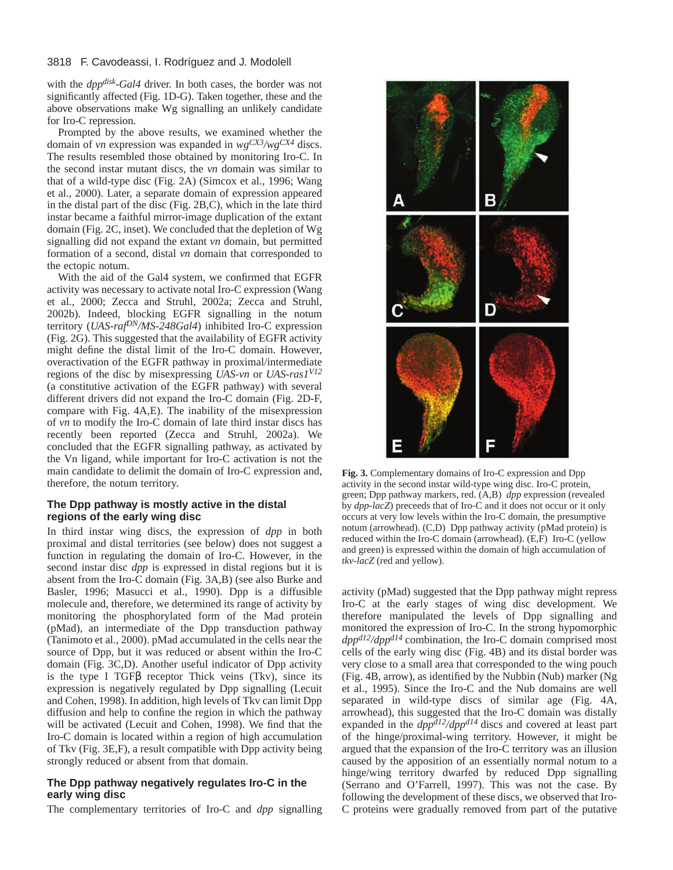#### 3818 F. Cavodeassi, I. Rodríguez and J. Modolell

with the *dppdisk-Gal4* driver. In both cases, the border was not significantly affected (Fig. 1D-G). Taken together, these and the above observations make Wg signalling an unlikely candidate for Iro-C repression.

Prompted by the above results, we examined whether the domain of *vn* expression was expanded in *wgCX3/wgCX4* discs. The results resembled those obtained by monitoring Iro-C. In the second instar mutant discs, the *vn* domain was similar to that of a wild-type disc (Fig. 2A) (Simcox et al., 1996; Wang et al., 2000). Later, a separate domain of expression appeared in the distal part of the disc (Fig. 2B,C), which in the late third instar became a faithful mirror-image duplication of the extant domain (Fig. 2C, inset). We concluded that the depletion of Wg signalling did not expand the extant *vn* domain, but permitted formation of a second, distal *vn* domain that corresponded to the ectopic notum.

With the aid of the Gal4 system, we confirmed that EGFR activity was necessary to activate notal Iro-C expression (Wang et al., 2000; Zecca and Struhl, 2002a; Zecca and Struhl, 2002b). Indeed, blocking EGFR signalling in the notum territory (*UAS-rafDN/MS-248Gal4*) inhibited Iro-C expression (Fig. 2G). This suggested that the availability of EGFR activity might define the distal limit of the Iro-C domain. However, overactivation of the EGFR pathway in proximal/intermediate regions of the disc by misexpressing *UAS-vn* or *UAS-ras1V12* (a constitutive activation of the EGFR pathway) with several different drivers did not expand the Iro-C domain (Fig. 2D-F, compare with Fig. 4A,E). The inability of the misexpression of *vn* to modify the Iro-C domain of late third instar discs has recently been reported (Zecca and Struhl, 2002a). We concluded that the EGFR signalling pathway, as activated by the Vn ligand, while important for Iro-C activation is not the main candidate to delimit the domain of Iro-C expression and, therefore, the notum territory.

# **The Dpp pathway is mostly active in the distal regions of the early wing disc**

In third instar wing discs, the expression of *dpp* in both proximal and distal territories (see below) does not suggest a function in regulating the domain of Iro-C. However, in the second instar disc *dpp* is expressed in distal regions but it is absent from the Iro-C domain (Fig. 3A,B) (see also Burke and Basler, 1996; Masucci et al., 1990). Dpp is a diffusible molecule and, therefore, we determined its range of activity by monitoring the phosphorylated form of the Mad protein (pMad), an intermediate of the Dpp transduction pathway (Tanimoto et al., 2000). pMad accumulated in the cells near the source of Dpp, but it was reduced or absent within the Iro-C domain (Fig. 3C,D). Another useful indicator of Dpp activity is the type I TGFβ receptor Thick veins (Tkv), since its expression is negatively regulated by Dpp signalling (Lecuit and Cohen, 1998). In addition, high levels of Tkv can limit Dpp diffusion and help to confine the region in which the pathway will be activated (Lecuit and Cohen, 1998). We find that the Iro-C domain is located within a region of high accumulation of Tkv (Fig. 3E,F), a result compatible with Dpp activity being strongly reduced or absent from that domain.

## **The Dpp pathway negatively regulates Iro-C in the early wing disc**

The complementary territories of Iro-C and *dpp* signalling



**Fig. 3.** Complementary domains of Iro-C expression and Dpp activity in the second instar wild-type wing disc. Iro-C protein, green; Dpp pathway markers, red. (A,B) *dpp* expression (revealed by *dpp-lacZ*) preceeds that of Iro-C and it does not occur or it only occurs at very low levels within the Iro-C domain, the presumptive notum (arrowhead). (C,D) Dpp pathway activity (pMad protein) is reduced within the Iro-C domain (arrowhead). (E,F) Iro-C (yellow and green) is expressed within the domain of high accumulation of *tkv-lacZ* (red and yellow).

activity (pMad) suggested that the Dpp pathway might repress Iro-C at the early stages of wing disc development. We therefore manipulated the levels of Dpp signalling and monitored the expression of Iro-C. In the strong hypomorphic *dppd12/dppd14* combination, the Iro-C domain comprised most cells of the early wing disc (Fig. 4B) and its distal border was very close to a small area that corresponded to the wing pouch (Fig. 4B, arrow), as identified by the Nubbin (Nub) marker (Ng et al., 1995). Since the Iro-C and the Nub domains are well separated in wild-type discs of similar age (Fig. 4A, arrowhead), this suggested that the Iro-C domain was distally expanded in the *dppd12/dppd14* discs and covered at least part of the hinge/proximal-wing territory. However, it might be argued that the expansion of the Iro-C territory was an illusion caused by the apposition of an essentially normal notum to a hinge/wing territory dwarfed by reduced Dpp signalling (Serrano and O'Farrell, 1997). This was not the case. By following the development of these discs, we observed that Iro-C proteins were gradually removed from part of the putative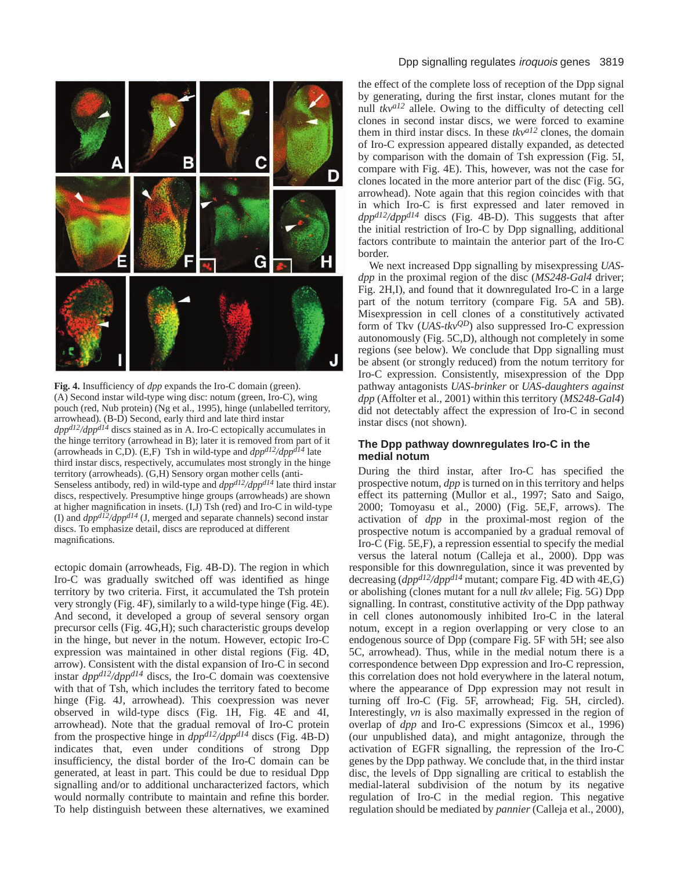

**Fig. 4.** Insufficiency of *dpp* expands the Iro-C domain (green). (A) Second instar wild-type wing disc: notum (green, Iro-C), wing pouch (red, Nub protein) (Ng et al., 1995), hinge (unlabelled territory, arrowhead). (B-D) Second, early third and late third instar *dppd12/dppd14* discs stained as in A. Iro-C ectopically accumulates in the hinge territory (arrowhead in B); later it is removed from part of it (arrowheads in C,D). (E,F) Tsh in wild-type and  $dpp^{d/2}/dpp^{d/4}$  late third instar discs, respectively, accumulates most strongly in the hinge territory (arrowheads). (G,H) Sensory organ mother cells (anti-Senseless antibody, red) in wild-type and *dppd12/dppd14* late third instar discs, respectively. Presumptive hinge groups (arrowheads) are shown at higher magnification in insets. (I,J) Tsh (red) and Iro-C in wild-type (I) and *dppd12/dppd14* (J, merged and separate channels) second instar discs. To emphasize detail, discs are reproduced at different magnifications.

ectopic domain (arrowheads, Fig. 4B-D). The region in which Iro-C was gradually switched off was identified as hinge territory by two criteria. First, it accumulated the Tsh protein very strongly (Fig. 4F), similarly to a wild-type hinge (Fig. 4E). And second, it developed a group of several sensory organ precursor cells (Fig. 4G,H); such characteristic groups develop in the hinge, but never in the notum. However, ectopic Iro-C expression was maintained in other distal regions (Fig. 4D, arrow). Consistent with the distal expansion of Iro-C in second instar *dppd12/dppd14* discs, the Iro-C domain was coextensive with that of Tsh, which includes the territory fated to become hinge (Fig. 4J, arrowhead). This coexpression was never observed in wild-type discs (Fig. 1H, Fig. 4E and 4I, arrowhead). Note that the gradual removal of Iro-C protein from the prospective hinge in *dppd12/dppd14* discs (Fig. 4B-D) indicates that, even under conditions of strong Dpp insufficiency, the distal border of the Iro-C domain can be generated, at least in part. This could be due to residual Dpp signalling and/or to additional uncharacterized factors, which would normally contribute to maintain and refine this border. To help distinguish between these alternatives, we examined

# Dpp signalling regulates iroquois genes 3819

the effect of the complete loss of reception of the Dpp signal by generating, during the first instar, clones mutant for the null  $tkv^{a12}$  allele. Owing to the difficulty of detecting cell clones in second instar discs, we were forced to examine them in third instar discs. In these *tkva12* clones, the domain of Iro-C expression appeared distally expanded, as detected by comparison with the domain of Tsh expression (Fig. 5I, compare with Fig. 4E). This, however, was not the case for clones located in the more anterior part of the disc (Fig. 5G, arrowhead). Note again that this region coincides with that in which Iro-C is first expressed and later removed in *dppd12/dppd14* discs (Fig. 4B-D). This suggests that after the initial restriction of Iro-C by Dpp signalling, additional factors contribute to maintain the anterior part of the Iro-C border.

We next increased Dpp signalling by misexpressing *UASdpp* in the proximal region of the disc (*MS248-Gal4* driver; Fig. 2H,I), and found that it downregulated Iro-C in a large part of the notum territory (compare Fig. 5A and 5B). Misexpression in cell clones of a constitutively activated form of Tkv (*UAS-tkvQD*) also suppressed Iro-C expression autonomously (Fig. 5C,D), although not completely in some regions (see below). We conclude that Dpp signalling must be absent (or strongly reduced) from the notum territory for Iro-C expression. Consistently, misexpression of the Dpp pathway antagonists *UAS-brinker* or *UAS-daughters against dpp* (Affolter et al., 2001) within this territory (*MS248-Gal4*) did not detectably affect the expression of Iro-C in second instar discs (not shown).

# **The Dpp pathway downregulates Iro-C in the medial notum**

During the third instar, after Iro-C has specified the prospective notum, *dpp* is turned on in this territory and helps effect its patterning (Mullor et al., 1997; Sato and Saigo, 2000; Tomoyasu et al., 2000) (Fig. 5E,F, arrows). The activation of *dpp* in the proximal-most region of the prospective notum is accompanied by a gradual removal of Iro-C (Fig. 5E,F), a repression essential to specify the medial

versus the lateral notum (Calleja et al., 2000). Dpp was responsible for this downregulation, since it was prevented by decreasing (*dppd12/dppd14* mutant; compare Fig. 4D with 4E,G) or abolishing (clones mutant for a null *tkv* allele; Fig. 5G) Dpp signalling. In contrast, constitutive activity of the Dpp pathway in cell clones autonomously inhibited Iro-C in the lateral notum, except in a region overlapping or very close to an endogenous source of Dpp (compare Fig. 5F with 5H; see also 5C, arrowhead). Thus, while in the medial notum there is a correspondence between Dpp expression and Iro-C repression, this correlation does not hold everywhere in the lateral notum, where the appearance of Dpp expression may not result in turning off Iro-C (Fig. 5F, arrowhead; Fig. 5H, circled). Interestingly, *vn* is also maximally expressed in the region of overlap of *dpp* and Iro-C expressions (Simcox et al., 1996) (our unpublished data), and might antagonize, through the activation of EGFR signalling, the repression of the Iro-C genes by the Dpp pathway. We conclude that, in the third instar disc, the levels of Dpp signalling are critical to establish the medial-lateral subdivision of the notum by its negative regulation of Iro-C in the medial region. This negative regulation should be mediated by *pannier* (Calleja et al., 2000),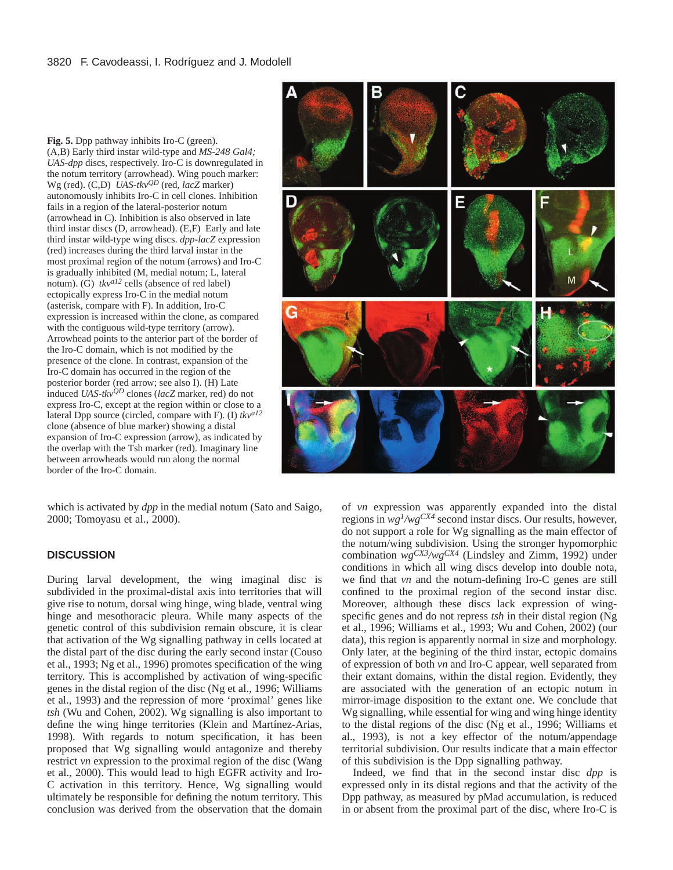**Fig. 5.** Dpp pathway inhibits Iro-C (green). (A,B) Early third instar wild-type and *MS-248 Gal4; UAS-dpp* discs, respectively. Iro-C is downregulated in the notum territory (arrowhead). Wing pouch marker: Wg (red). (C,D) *UAS-tkvQD* (red, *lacZ* marker) autonomously inhibits Iro-C in cell clones. Inhibition fails in a region of the lateral-posterior notum (arrowhead in C). Inhibition is also observed in late third instar discs (D, arrowhead). (E,F) Early and late third instar wild-type wing discs. *dpp-lacZ* expression (red) increases during the third larval instar in the most proximal region of the notum (arrows) and Iro-C is gradually inhibited (M, medial notum; L, lateral notum). (G)  $tkv^{a12}$  cells (absence of red label) ectopically express Iro-C in the medial notum (asterisk, compare with F). In addition, Iro-C expression is increased within the clone, as compared with the contiguous wild-type territory (arrow). Arrowhead points to the anterior part of the border of the Iro-C domain, which is not modified by the presence of the clone. In contrast, expansion of the Iro-C domain has occurred in the region of the posterior border (red arrow; see also I). (H) Late induced *UAS-tkvQD* clones (*lacZ* marker, red) do not express Iro-C, except at the region within or close to a lateral Dpp source (circled, compare with F). (I) *tkva12* clone (absence of blue marker) showing a distal expansion of Iro-C expression (arrow), as indicated by the overlap with the Tsh marker (red). Imaginary line between arrowheads would run along the normal border of the Iro-C domain.



which is activated by *dpp* in the medial notum (Sato and Saigo, 2000; Tomoyasu et al., 2000).

# **DISCUSSION**

During larval development, the wing imaginal disc is subdivided in the proximal-distal axis into territories that will give rise to notum, dorsal wing hinge, wing blade, ventral wing hinge and mesothoracic pleura. While many aspects of the genetic control of this subdivision remain obscure, it is clear that activation of the Wg signalling pathway in cells located at the distal part of the disc during the early second instar (Couso et al., 1993; Ng et al., 1996) promotes specification of the wing territory. This is accomplished by activation of wing-specific genes in the distal region of the disc (Ng et al., 1996; Williams et al., 1993) and the repression of more 'proximal' genes like *tsh* (Wu and Cohen, 2002). Wg signalling is also important to define the wing hinge territories (Klein and Martínez-Arias, 1998). With regards to notum specification, it has been proposed that Wg signalling would antagonize and thereby restrict *vn* expression to the proximal region of the disc (Wang et al., 2000). This would lead to high EGFR activity and Iro-C activation in this territory. Hence, Wg signalling would ultimately be responsible for defining the notum territory. This conclusion was derived from the observation that the domain

of *vn* expression was apparently expanded into the distal regions in *wg1/wgCX4* second instar discs. Our results, however, do not support a role for Wg signalling as the main effector of the notum/wing subdivision. Using the stronger hypomorphic combination *wgCX3/wgCX4* (Lindsley and Zimm, 1992) under conditions in which all wing discs develop into double nota, we find that *vn* and the notum-defining Iro-C genes are still confined to the proximal region of the second instar disc. Moreover, although these discs lack expression of wingspecific genes and do not repress *tsh* in their distal region (Ng et al., 1996; Williams et al., 1993; Wu and Cohen, 2002) (our data), this region is apparently normal in size and morphology. Only later, at the begining of the third instar, ectopic domains of expression of both *vn* and Iro-C appear, well separated from their extant domains, within the distal region. Evidently, they are associated with the generation of an ectopic notum in mirror-image disposition to the extant one. We conclude that Wg signalling, while essential for wing and wing hinge identity to the distal regions of the disc (Ng et al., 1996; Williams et al., 1993), is not a key effector of the notum/appendage territorial subdivision. Our results indicate that a main effector of this subdivision is the Dpp signalling pathway.

Indeed, we find that in the second instar disc *dpp* is expressed only in its distal regions and that the activity of the Dpp pathway, as measured by pMad accumulation, is reduced in or absent from the proximal part of the disc, where Iro-C is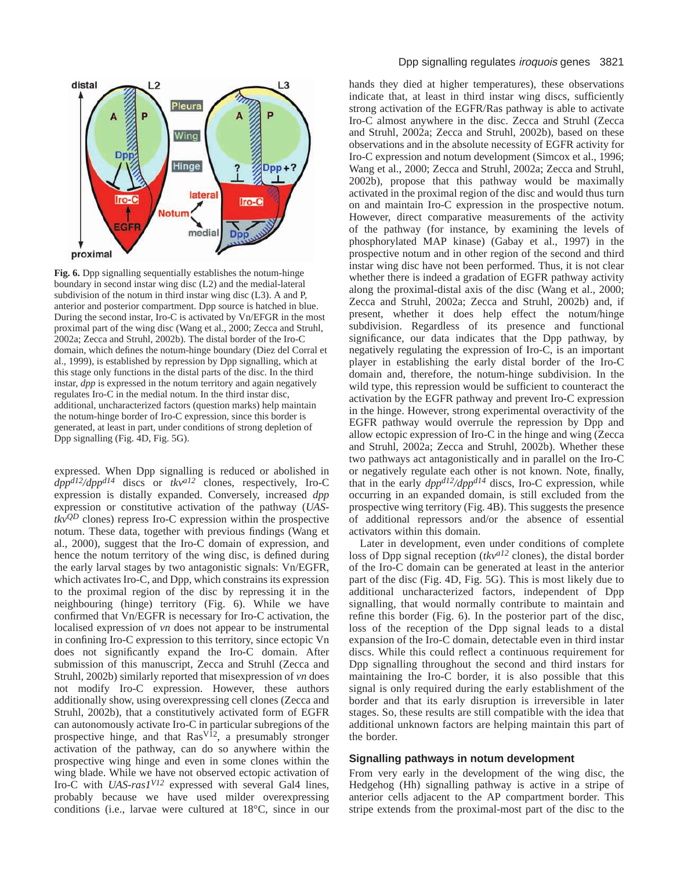

**Fig. 6.** Dpp signalling sequentially establishes the notum-hinge boundary in second instar wing disc (L2) and the medial-lateral subdivision of the notum in third instar wing disc (L3). A and P, anterior and posterior compartment. Dpp source is hatched in blue. During the second instar, Iro-C is activated by Vn/EFGR in the most proximal part of the wing disc (Wang et al., 2000; Zecca and Struhl, 2002a; Zecca and Struhl, 2002b). The distal border of the Iro-C domain, which defines the notum-hinge boundary (Diez del Corral et al., 1999), is established by repression by Dpp signalling, which at this stage only functions in the distal parts of the disc. In the third instar, *dpp* is expressed in the notum territory and again negatively regulates Iro-C in the medial notum. In the third instar disc, additional, uncharacterized factors (question marks) help maintain the notum-hinge border of Iro-C expression, since this border is generated, at least in part, under conditions of strong depletion of Dpp signalling (Fig. 4D, Fig. 5G).

expressed. When Dpp signalling is reduced or abolished in *dppd12/dppd14* discs or *tkva12* clones, respectively, Iro-C expression is distally expanded. Conversely, increased *dpp* expression or constitutive activation of the pathway (*UAStkvQD* clones) repress Iro-C expression within the prospective notum. These data, together with previous findings (Wang et al., 2000), suggest that the Iro-C domain of expression, and hence the notum territory of the wing disc, is defined during the early larval stages by two antagonistic signals: Vn/EGFR, which activates Iro-C, and Dpp, which constrains its expression to the proximal region of the disc by repressing it in the neighbouring (hinge) territory (Fig. 6). While we have confirmed that Vn/EGFR is necessary for Iro-C activation, the localised expression of *vn* does not appear to be instrumental in confining Iro-C expression to this territory, since ectopic Vn does not significantly expand the Iro-C domain. After submission of this manuscript, Zecca and Struhl (Zecca and Struhl, 2002b) similarly reported that misexpression of *vn* does not modify Iro-C expression. However, these authors additionally show, using overexpressing cell clones (Zecca and Struhl, 2002b), that a constitutively activated form of EGFR can autonomously activate Iro-C in particular subregions of the prospective hinge, and that  $\text{Ras}^{\text{V12}}$ , a presumably stronger activation of the pathway, can do so anywhere within the prospective wing hinge and even in some clones within the wing blade. While we have not observed ectopic activation of Iro-C with *UAS-ras1V12* expressed with several Gal4 lines, probably because we have used milder overexpressing conditions (i.e., larvae were cultured at 18°C, since in our

hands they died at higher temperatures), these observations indicate that, at least in third instar wing discs, sufficiently strong activation of the EGFR/Ras pathway is able to activate Iro-C almost anywhere in the disc. Zecca and Struhl (Zecca and Struhl, 2002a; Zecca and Struhl, 2002b), based on these observations and in the absolute necessity of EGFR activity for Iro-C expression and notum development (Simcox et al., 1996; Wang et al., 2000; Zecca and Struhl, 2002a; Zecca and Struhl, 2002b), propose that this pathway would be maximally activated in the proximal region of the disc and would thus turn on and maintain Iro-C expression in the prospective notum. However, direct comparative measurements of the activity of the pathway (for instance, by examining the levels of phosphorylated MAP kinase) (Gabay et al., 1997) in the prospective notum and in other region of the second and third instar wing disc have not been performed. Thus, it is not clear whether there is indeed a gradation of EGFR pathway activity along the proximal-distal axis of the disc (Wang et al., 2000; Zecca and Struhl, 2002a; Zecca and Struhl, 2002b) and, if present, whether it does help effect the notum/hinge subdivision. Regardless of its presence and functional significance, our data indicates that the Dpp pathway, by negatively regulating the expression of Iro-C, is an important player in establishing the early distal border of the Iro-C domain and, therefore, the notum-hinge subdivision. In the wild type, this repression would be sufficient to counteract the activation by the EGFR pathway and prevent Iro-C expression in the hinge. However, strong experimental overactivity of the EGFR pathway would overrule the repression by Dpp and allow ectopic expression of Iro-C in the hinge and wing (Zecca and Struhl, 2002a; Zecca and Struhl, 2002b). Whether these two pathways act antagonistically and in parallel on the Iro-C or negatively regulate each other is not known. Note, finally, that in the early *dppd12/dppd14* discs, Iro-C expression, while occurring in an expanded domain, is still excluded from the prospective wing territory (Fig. 4B). This suggests the presence of additional repressors and/or the absence of essential activators within this domain.

Later in development, even under conditions of complete loss of Dpp signal reception (*tkva12* clones), the distal border of the Iro-C domain can be generated at least in the anterior part of the disc (Fig. 4D, Fig. 5G). This is most likely due to additional uncharacterized factors, independent of Dpp signalling, that would normally contribute to maintain and refine this border (Fig. 6). In the posterior part of the disc, loss of the reception of the Dpp signal leads to a distal expansion of the Iro-C domain, detectable even in third instar discs. While this could reflect a continuous requirement for Dpp signalling throughout the second and third instars for maintaining the Iro-C border, it is also possible that this signal is only required during the early establishment of the border and that its early disruption is irreversible in later stages. So, these results are still compatible with the idea that additional unknown factors are helping maintain this part of the border.

## **Signalling pathways in notum development**

From very early in the development of the wing disc, the Hedgehog (Hh) signalling pathway is active in a stripe of anterior cells adjacent to the AP compartment border. This stripe extends from the proximal-most part of the disc to the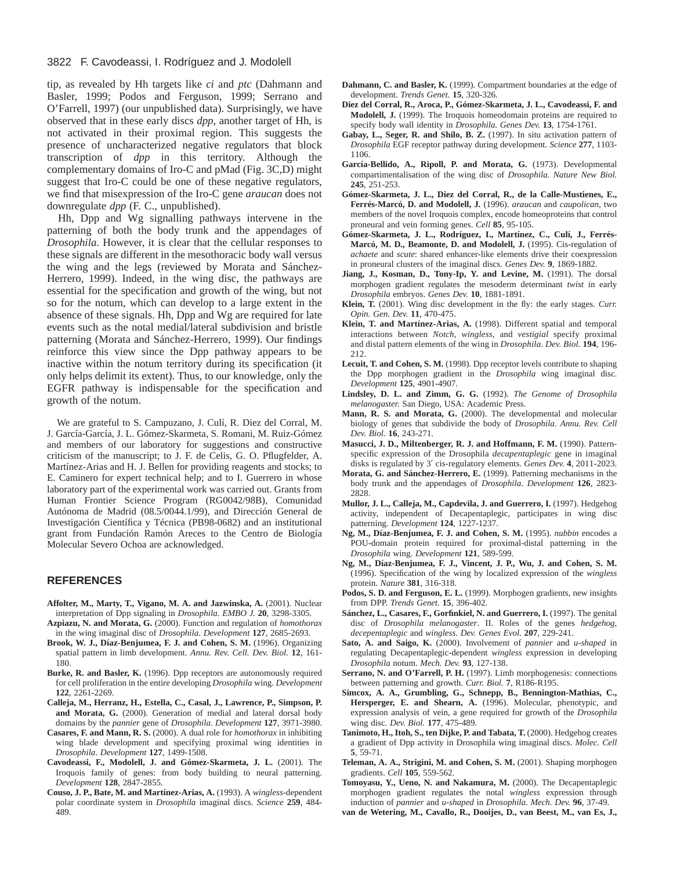#### 3822 F. Cavodeassi, I. Rodríguez and J. Modolell

tip, as revealed by Hh targets like *ci* and *ptc* (Dahmann and Basler, 1999; Podos and Ferguson, 1999; Serrano and O'Farrell, 1997) (our unpublished data). Surprisingly, we have observed that in these early discs *dpp*, another target of Hh, is not activated in their proximal region. This suggests the presence of uncharacterized negative regulators that block transcription of *dpp* in this territory. Although the complementary domains of Iro-C and pMad (Fig. 3C,D) might suggest that Iro-C could be one of these negative regulators, we find that misexpression of the Iro-C gene *araucan* does not downregulate *dpp* (F. C., unpublished).

Hh, Dpp and Wg signalling pathways intervene in the patterning of both the body trunk and the appendages of *Drosophila*. However, it is clear that the cellular responses to these signals are different in the mesothoracic body wall versus the wing and the legs (reviewed by Morata and Sánchez-Herrero, 1999). Indeed, in the wing disc, the pathways are essential for the specification and growth of the wing, but not so for the notum, which can develop to a large extent in the absence of these signals. Hh, Dpp and Wg are required for late events such as the notal medial/lateral subdivision and bristle patterning (Morata and Sánchez-Herrero, 1999). Our findings reinforce this view since the Dpp pathway appears to be inactive within the notum territory during its specification (it only helps delimit its extent). Thus, to our knowledge, only the EGFR pathway is indispensable for the specification and growth of the notum.

We are grateful to S. Campuzano, J. Culí, R. Diez del Corral, M. J. García-García, J. L. Gómez-Skarmeta, S. Romani, M. Ruiz-Gómez and members of our laboratory for suggestions and constructive criticism of the manuscript; to J. F. de Celis, G. O. Pflugfelder, A. Martínez-Arias and H. J. Bellen for providing reagents and stocks; to E. Caminero for expert technical help; and to I. Guerrero in whose laboratory part of the experimental work was carried out. Grants from Human Frontier Science Program (RG0042/98B), Comunidad Autónoma de Madrid (08.5/0044.1/99), and Dirección General de Investigación Científica y Técnica (PB98-0682) and an institutional grant from Fundación Ramón Areces to the Centro de Biología Molecular Severo Ochoa are acknowledged.

#### **REFERENCES**

- **Affolter, M., Marty, T., Vigano, M. A. and Jazwinska, A.** (2001). Nuclear interpretation of Dpp signaling in *Drosophila*. *EMBO J.* **20**, 3298-3305.
- **Azpiazu, N. and Morata, G.** (2000). Function and regulation of *homothorax* in the wing imaginal disc of *Drosophila*. *Development* **127**, 2685-2693.
- **Brook, W. J., Díaz-Benjumea, F. J. and Cohen, S. M.** (1996). Organizing spatial pattern in limb development. *Annu. Rev. Cell. Dev. Biol.* **12**, 161- 180.
- **Burke, R. and Basler, K.** (1996). Dpp receptors are autonomously required for cell proliferation in the entire developing *Drosophila* wing. *Development* **122**, 2261-2269.
- **Calleja, M., Herranz, H., Estella, C., Casal, J., Lawrence, P., Simpson, P. and Morata, G.** (2000). Generation of medial and lateral dorsal body domains by the *pannier* gene of *Drosophila*. *Development* **127**, 3971-3980.
- **Casares, F. and Mann, R. S.** (2000). A dual role for *homothorax* in inhibiting wing blade development and specifying proximal wing identities in *Drosophila*. *Development* **127**, 1499-1508.
- **Cavodeassi, F., Modolell, J. and Gómez-Skarmeta, J. L.** (2001). The Iroquois family of genes: from body building to neural patterning. *Development* **128**, 2847-2855.
- **Couso, J. P., Bate, M. and Martínez-Arias, A.** (1993). A *wingless*-dependent polar coordinate system in *Drosophila* imaginal discs. *Science* **259**, 484- 489.
- **Dahmann, C. and Basler, K.** (1999). Compartment boundaries at the edge of development. *Trends Genet.* **15**, 320-326.
- **Diez del Corral, R., Aroca, P., Gómez-Skarmeta, J. L., Cavodeassi, F. and Modolell, J.** (1999). The Iroquois homeodomain proteins are required to specify body wall identity in *Drosophila. Genes Dev.* **13**, 1754-1761.
- **Gabay, L., Seger, R. and Shilo, B. Z.** (1997). In situ activation pattern of *Drosophila* EGF receptor pathway during development. *Science* **277**, 1103- 1106.
- **García-Bellido, A., Ripoll, P. and Morata, G.** (1973). Developmental compartimentalisation of the wing disc of *Drosophila*. *Nature New Biol.* **245**, 251-253.
- **Gómez-Skarmeta, J. L., Diez del Corral, R., de la Calle-Mustienes, E., Ferrés-Marcó, D. and Modolell, J.** (1996). *araucan* and *caupolican*, two members of the novel Iroquois complex, encode homeoproteins that control proneural and vein forming genes. *Cell* **85**, 95-105.
- **Gómez-Skarmeta, J. L., Rodríguez, I., Martínez, C., Culí, J., Ferrés-Marcó, M. D., Beamonte, D. and Modolell, J.** (1995). Cis-regulation of *achaete* and *scute*: shared enhancer-like elements drive their coexpression in proneural clusters of the imaginal discs. *Genes Dev.* **9**, 1869-1882.
- **Jiang, J., Kosman, D., Tony-Ip, Y. and Levine, M.** (1991). The dorsal morphogen gradient regulates the mesoderm determinant *twist* in early *Drosophila* embryos. *Genes Dev.* **10**, 1881-1891.
- **Klein, T.** (2001). Wing disc development in the fly: the early stages. *Curr. Opin. Gen. Dev.* **11**, 470-475.
- **Klein, T. and Martínez-Arias, A.** (1998). Different spatial and temporal interactions between *Notch*, *wingless*, and *vestigial* specify proximal and distal pattern elements of the wing in *Drosophila*. *Dev. Biol.* **194**, 196- 212.
- **Lecuit, T. and Cohen, S. M.** (1998). Dpp receptor levels contribute to shaping the Dpp morphogen gradient in the *Drosophila* wing imaginal disc. *Development* **125**, 4901-4907.
- **Lindsley, D. L. and Zimm, G. G.** (1992). *The Genome of Drosophila melanogaster.* San Diego, USA: Academic Press.
- **Mann, R. S. and Morata, G.** (2000). The developmental and molecular biology of genes that subdivide the body of *Drosophila*. *Annu. Rev. Cell Dev. Biol.* **16**, 243-271.
- **Masucci, J. D., Miltenberger, R. J. and Hoffmann, F. M.** (1990). Patternspecific expression of the Drosophila *decapentaplegic* gene in imaginal disks is regulated by 3′ cis-regulatory elements. *Genes Dev.* **4**, 2011-2023.
- **Morata, G. and Sánchez-Herrero, E.** (1999). Patterning mechanisms in the body trunk and the appendages of *Drosophila*. *Development* **126**, 2823- 2828.
- **Mullor, J. L., Calleja, M., Capdevila, J. and Guerrero, I.** (1997). Hedgehog activity, independent of Decapentaplegic, participates in wing disc patterning. *Development* **124**, 1227-1237.
- **Ng, M., Díaz-Benjumea, F. J. and Cohen, S. M.** (1995). *nubbin* encodes a POU-domain protein required for proximal-distal patterning in the *Drosophila* wing. *Development* **121**, 589-599.
- **Ng, M., Díaz-Benjumea, F. J., Vincent, J. P., Wu, J. and Cohen, S. M.** (1996). Specification of the wing by localized expression of the *wingless* protein. *Nature* **381**, 316-318.
- **Podos, S. D. and Ferguson, E. L.** (1999). Morphogen gradients, new insights from DPP. *Trends Genet.* **15**, 396-402.
- **Sánchez, L., Casares, F., Gorfinkiel, N. and Guerrero, I.** (1997). The genital disc of *Drosophila melanogaster*. II. Roles of the genes *hedgehog*, *decepentaplegic* and *wingless*. *Dev. Genes Evol.* **207**, 229-241.
- **Sato, A. and Saigo, K.** (2000). Involvement of *pannier* and *u-shaped* in regulating Decapentaplegic-dependent *wingless* expression in developing *Drosophila* notum. *Mech. Dev.* **93**, 127-138.
- **Serrano, N. and O'Farrell, P. H.** (1997). Limb morphogenesis: connections between patterning and growth. *Curr. Biol.* **7**, R186-R195.
- **Simcox, A. A., Grumbling, G., Schnepp, B., Bennington-Mathias, C., Hersperger, E. and Shearn, A.** (1996). Molecular, phenotypic, and expression analysis of vein, a gene required for growth of the *Drosophila* wing disc. *Dev. Biol.* **177**, 475-489.
- **Tanimoto, H., Itoh, S., ten Dijke, P. and Tabata, T.** (2000). Hedgehog creates a gradient of Dpp activity in Drosophila wing imaginal discs. *Molec. Cell* **5**, 59-71.
- **Teleman, A. A., Strigini, M. and Cohen, S. M.** (2001). Shaping morphogen gradients. *Cell* **105**, 559-562.
- **Tomoyasu, Y., Ueno, N. and Nakamura, M.** (2000). The Decapentaplegic morphogen gradient regulates the notal *wingless* expression through induction of *pannier* and *u-shaped* in *Drosophila*. *Mech. Dev.* **96**, 37-49.
- **van de Wetering, M., Cavallo, R., Dooijes, D., van Beest, M., van Es, J.,**